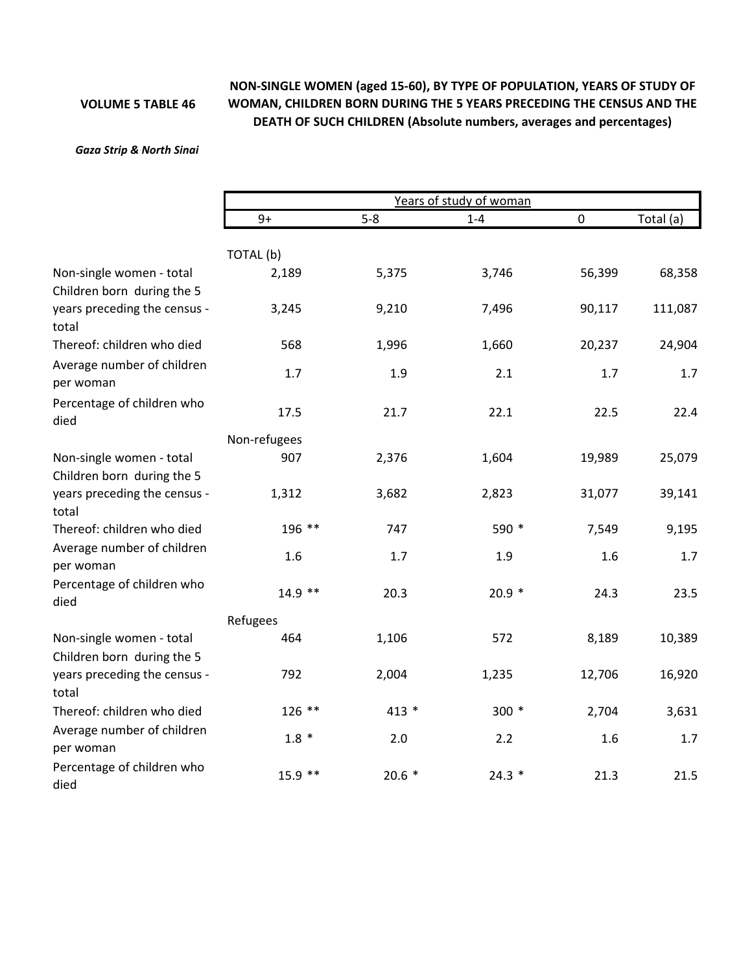## **VOLUME 5 TABLE 46**

## **NON‐SINGLE WOMEN (aged 15‐60), BY TYPE OF POPULATION, YEARS OF STUDY OF WOMAN, CHILDREN BORN DURING THE 5 YEARS PRECEDING THE CENSUS AND THE DEATH OF SUCH CHILDREN (Absolute numbers, averages and percentages)**

## *Gaza Strip & North Sinai*

|                                                                     |              | Years of study of woman |         |           |           |  |  |  |  |
|---------------------------------------------------------------------|--------------|-------------------------|---------|-----------|-----------|--|--|--|--|
|                                                                     | $9+$         | $5 - 8$                 | $1 - 4$ | $\pmb{0}$ | Total (a) |  |  |  |  |
|                                                                     | TOTAL (b)    |                         |         |           |           |  |  |  |  |
| Non-single women - total                                            | 2,189        | 5,375                   | 3,746   | 56,399    | 68,358    |  |  |  |  |
| Children born during the 5                                          |              |                         |         |           |           |  |  |  |  |
| years preceding the census -<br>total                               | 3,245        | 9,210                   | 7,496   | 90,117    | 111,087   |  |  |  |  |
| Thereof: children who died                                          | 568          | 1,996                   | 1,660   | 20,237    | 24,904    |  |  |  |  |
| Average number of children<br>per woman                             | 1.7          | 1.9                     | 2.1     | 1.7       | 1.7       |  |  |  |  |
| Percentage of children who<br>died                                  | 17.5         | 21.7                    | 22.1    | 22.5      | 22.4      |  |  |  |  |
|                                                                     | Non-refugees |                         |         |           |           |  |  |  |  |
| Non-single women - total                                            | 907          | 2,376                   | 1,604   | 19,989    | 25,079    |  |  |  |  |
| Children born during the 5                                          |              |                         |         |           |           |  |  |  |  |
| years preceding the census -<br>total                               | 1,312        | 3,682                   | 2,823   | 31,077    | 39,141    |  |  |  |  |
| Thereof: children who died                                          | 196 **       | 747                     | 590 *   | 7,549     | 9,195     |  |  |  |  |
| Average number of children<br>per woman                             | 1.6          | 1.7                     | 1.9     | 1.6       | 1.7       |  |  |  |  |
| Percentage of children who<br>died                                  | $14.9$ **    | 20.3                    | $20.9*$ | 24.3      | 23.5      |  |  |  |  |
|                                                                     | Refugees     |                         |         |           |           |  |  |  |  |
| Non-single women - total                                            | 464          | 1,106                   | 572     | 8,189     | 10,389    |  |  |  |  |
| Children born during the 5<br>years preceding the census -<br>total | 792          | 2,004                   | 1,235   | 12,706    | 16,920    |  |  |  |  |
| Thereof: children who died                                          | 126 **       | $413 *$                 | 300 *   | 2,704     | 3,631     |  |  |  |  |
| Average number of children<br>per woman                             | $1.8 *$      | 2.0                     | 2.2     | 1.6       | 1.7       |  |  |  |  |
| Percentage of children who<br>died                                  | $15.9$ **    | $20.6*$                 | $24.3*$ | 21.3      | 21.5      |  |  |  |  |